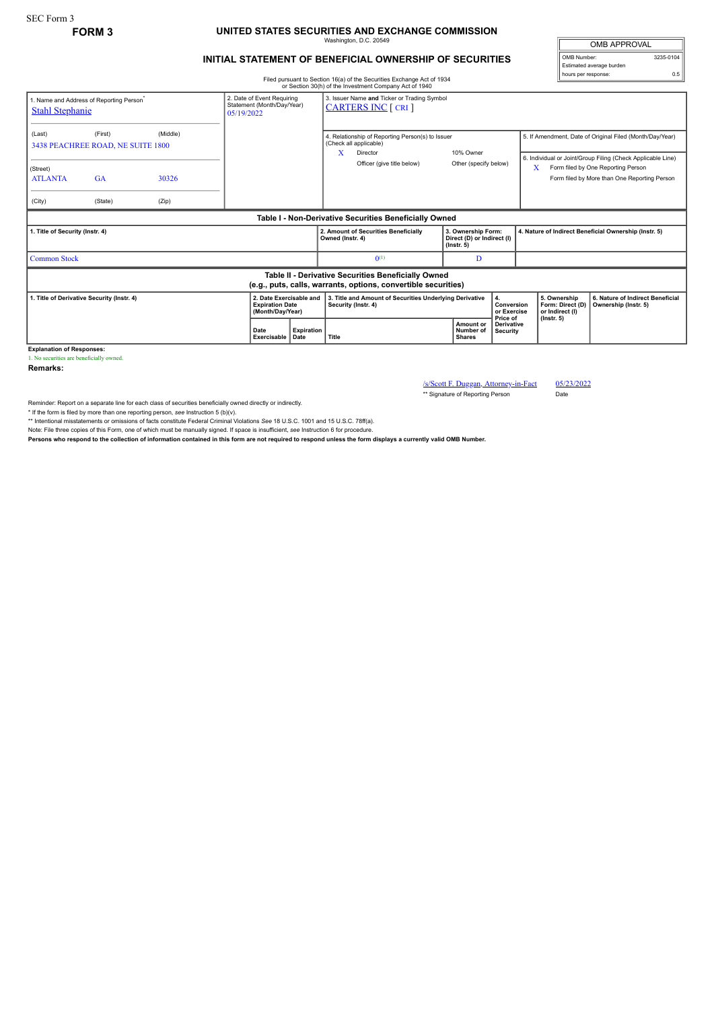## **FORM 3 UNITED STATES SECURITIES AND EXCHANGE COMMISSION** Washington, D.C. 20549

## **INITIAL STATEMENT OF BENEFICIAL OWNERSHIP OF SECURITIES**

Filed pursuant to Section 16(a) of the Securities Exchange Act of 1934 or Section 30(h) of the Investment Company Act of 1940

| 1. Name and Address of Reporting Person <sup>*</sup><br><b>Stahl Stephanie</b>                                        |                                              | 3. Issuer Name and Ticker or Trading Symbol<br>2. Date of Event Requiring<br>Statement (Month/Day/Year)<br><b>CARTERS INC [ CRI ]</b><br>05/19/2022 |                     |                                  |                                                                                                          |                                      |                                                                      |                                                                                                                         |                                                     |                                                                                    |
|-----------------------------------------------------------------------------------------------------------------------|----------------------------------------------|-----------------------------------------------------------------------------------------------------------------------------------------------------|---------------------|----------------------------------|----------------------------------------------------------------------------------------------------------|--------------------------------------|----------------------------------------------------------------------|-------------------------------------------------------------------------------------------------------------------------|-----------------------------------------------------|------------------------------------------------------------------------------------|
| (Last)                                                                                                                | (First)<br>3438 PEACHREE ROAD, NE SUITE 1800 | (Middle)                                                                                                                                            |                     |                                  | 4. Relationship of Reporting Person(s) to Issuer<br>(Check all applicable)<br>X<br>10% Owner<br>Director |                                      |                                                                      | 5. If Amendment, Date of Original Filed (Month/Day/Year)<br>6. Individual or Joint/Group Filing (Check Applicable Line) |                                                     |                                                                                    |
| (Street)<br><b>ATLANTA</b>                                                                                            | <b>GA</b>                                    | 30326                                                                                                                                               |                     |                                  |                                                                                                          | Officer (give title below)           | Other (specify below)                                                |                                                                                                                         | x                                                   | Form filed by One Reporting Person<br>Form filed by More than One Reporting Person |
| (City)                                                                                                                | (State)                                      | (Zip)                                                                                                                                               |                     |                                  |                                                                                                          |                                      |                                                                      |                                                                                                                         |                                                     |                                                                                    |
| Table I - Non-Derivative Securities Beneficially Owned                                                                |                                              |                                                                                                                                                     |                     |                                  |                                                                                                          |                                      |                                                                      |                                                                                                                         |                                                     |                                                                                    |
| 1. Title of Security (Instr. 4)                                                                                       |                                              |                                                                                                                                                     |                     |                                  | Owned (Instr. 4)                                                                                         | 2. Amount of Securities Beneficially | 3. Ownership Form:<br>Direct (D) or Indirect (I)<br>$($ lnstr. 5 $)$ |                                                                                                                         |                                                     | 4. Nature of Indirect Beneficial Ownership (Instr. 5)                              |
| <b>Common Stock</b>                                                                                                   |                                              |                                                                                                                                                     |                     |                                  |                                                                                                          | $0^{(1)}$                            | D                                                                    |                                                                                                                         |                                                     |                                                                                    |
| Table II - Derivative Securities Beneficially Owned<br>(e.g., puts, calls, warrants, options, convertible securities) |                                              |                                                                                                                                                     |                     |                                  |                                                                                                          |                                      |                                                                      |                                                                                                                         |                                                     |                                                                                    |
| 1. Title of Derivative Security (Instr. 4)<br>2. Date Exercisable and<br><b>Expiration Date</b><br>(Month/Day/Year)   |                                              |                                                                                                                                                     |                     |                                  | 3. Title and Amount of Securities Underlying Derivative<br>4.<br>Security (Instr. 4)                     |                                      |                                                                      | Conversion<br>or Exercise<br>Price of                                                                                   | 5. Ownership<br>Form: Direct (D)<br>or Indirect (I) | 6. Nature of Indirect Beneficial<br>Ownership (Instr. 5)                           |
|                                                                                                                       |                                              |                                                                                                                                                     | Date<br>Exercisable | <b>Expiration</b><br><b>Date</b> | Title                                                                                                    |                                      | <b>Amount or</b><br>Number of<br><b>Shares</b>                       | <b>Derivative</b><br><b>Security</b>                                                                                    | $($ lnstr. 5 $)$                                    |                                                                                    |

**Explanation of Responses:** 1. No securities are beneficially owned.

**Remarks:**

/s/Scott F. Duggan, Attorney-in-Fact 05/23/2022 \*\* Signature of Reporting Person

Reminder: Report on a separate line for each class of securities beneficially owned directly or indirectly.

\* If the form is filed by more than one reporting person, see Instruction 5 (b)(v).<br>\*\* Intentional misstatements or omissions of facts constitute Federal Criminal Violations See 18 U.S.C. 1001 and 15 U.S.C. 78ff(a).

Note: File three copies of this Form, one of which must be manually signed. If space is insufficient, *see* Instruction 6 for procedure.

**Persons who respond to the collection of information contained in this form are not required to respond unless the form displays a currently valid OMB Number.**